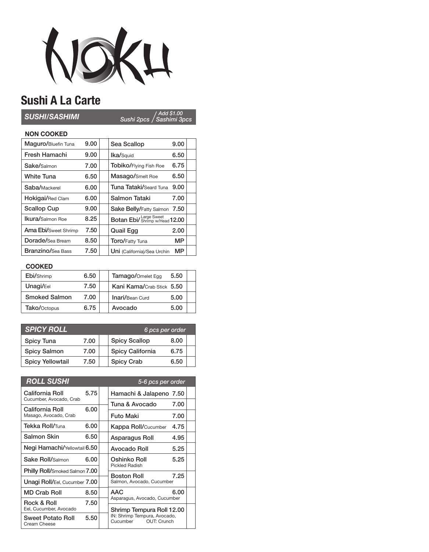

## **Sushi A La Carte**

*Sushi 2pcs Sashimi 3pcs Add \$1.00 SUSHI/SASHIMI*

## **NON COOKED**

| Maquro/Bluefin Tuna         | 9.00 | Sea Scallop                    | 9.00 |  |
|-----------------------------|------|--------------------------------|------|--|
| Fresh Hamachi               | 9.00 | Ika/Squid                      | 6.50 |  |
| Sake/Salmon                 | 7.00 | Tobiko/Flying Fish Roe         | 6.75 |  |
| <b>White Tuna</b>           | 6.50 | Masago/Smelt Roe               | 6.50 |  |
| Saba/Mackerel               | 6.00 | <b>Tuna Tataki/Seard Tuna</b>  | 9.00 |  |
| <b>Hokigai/Red Clam</b>     | 6.00 | Salmon Tataki                  | 7.00 |  |
| <b>Scallop Cup</b>          | 9.00 | Sake Belly/Fatty Salmon        | 7.50 |  |
| Ikura/Salmon Roe            | 8.25 | Botan Ebil Shrimp w/Head 12.00 |      |  |
| <b>Ama Ebi/Sweet Shrimp</b> | 7.50 | <b>Quail Egg</b>               | 2.00 |  |
| Dorade/Sea Bream            | 8.50 | Toro/Fatty Tuna                | МP   |  |
| <b>Branzino/Sea Bass</b>    | 7.50 | Uni (California)/Sea Urchin    | МP   |  |

## **COOKED**

| Ebi/Shrimp           | 6.50 | Tamago/Omelet Egg<br>5.50      |  |
|----------------------|------|--------------------------------|--|
| Unagi/Eel            | 7.50 | Kani Kama/Crab Stick 5.50      |  |
| <b>Smoked Salmon</b> | 7.00 | <b>Inari/Bean Curd</b><br>5.00 |  |
| Tako/Octopus         | 6.75 | Avocado<br>5.00                |  |

| <b>SPICY ROLL</b>       |      |  | 6 pcs per order      |      |  |
|-------------------------|------|--|----------------------|------|--|
| <b>Spicy Tuna</b>       | 7.00 |  | <b>Spicy Scallop</b> | 8.00 |  |
| <b>Spicy Salmon</b>     | 7.00 |  | Spicy California     | 6.75 |  |
| <b>Spicy Yellowtail</b> | 7.50 |  | <b>Spicy Crab</b>    | 6.50 |  |

| <b>ROLL SUSHI</b>                        |      |              | 5-6 pcs per order                                                                    |      |  |
|------------------------------------------|------|--------------|--------------------------------------------------------------------------------------|------|--|
| California Roll                          | 5.75 |              | Hamachi & Jalapeno 7.50                                                              |      |  |
| Cucumber, Avocado, Crab                  |      |              | Tuna & Avocado                                                                       | 7.00 |  |
| California Roll<br>Masago, Avocado, Crab | 6.00 |              | Futo Maki                                                                            | 7.00 |  |
| <b>Tekka Roll/</b> Tuna                  | 6.00 |              | <b>Kappa Roll/Cucumber</b>                                                           | 4.75 |  |
| Salmon Skin                              | 6.50 |              | Asparagus Roll                                                                       | 4.95 |  |
| Negi Hamachi/Yellowtail 6.50             |      | Avocado Roll | 5.25                                                                                 |      |  |
| <b>Sake Roll/Salmon</b>                  | 6.00 |              | Oshinko Roll<br><b>Pickled Radish</b>                                                | 5.25 |  |
| <b>Philly Roll/Smoked Salmon 7.00</b>    |      |              |                                                                                      |      |  |
| <b>Unagi Roll/Eel, Cucumber 7.00</b>     |      |              | 7.25<br>Boston Roll<br>Salmon, Avocado, Cucumber                                     |      |  |
| MD Crab Roll                             | 8.50 |              | AAC                                                                                  | 6.00 |  |
| Rock & Roll                              | 7.50 |              | Asparagus, Avocado, Cucumber                                                         |      |  |
| Eel, Cucumber, Avocado                   |      |              | Shrimp Tempura Roll 12.00<br>IN: Shrimp Tempura, Avocado,<br>OUT: Crunch<br>Cucumber |      |  |
| <b>Sweet Potato Roll</b><br>Cream Cheese | 5.50 |              |                                                                                      |      |  |